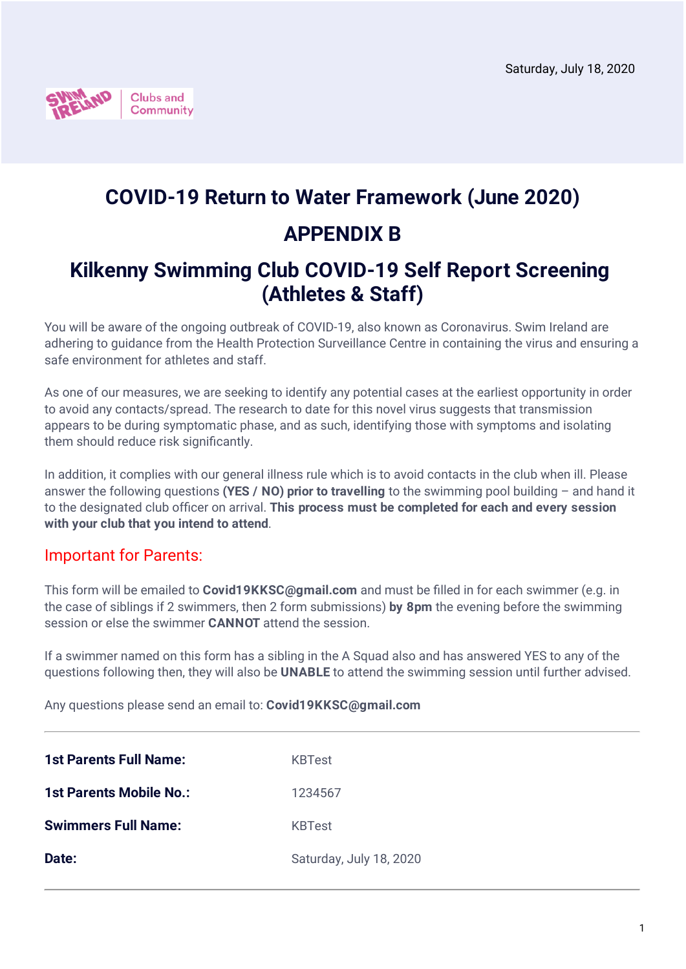

# **COVID-19 Return to Water Framework (June 2020) APPENDIX B**

## **Kilkenny Swimming Club COVID-19 Self Report Screening (Athletes & Staff)**

You will be aware of the ongoing outbreak of COVID-19, also known as Coronavirus. Swim Ireland are adhering to guidance from the Health Protection Surveillance Centre in containing the virus and ensuring a safe environment for athletes and staff.

As one of our measures, we are seeking to identify any potential cases at the earliest opportunity in order to avoid any contacts/spread. The research to date for this novel virus suggests that transmission appears to be during symptomatic phase, and as such, identifying those with symptoms and isolating them should reduce risk significantly.

In addition, it complies with our general illness rule which is to avoid contacts in the club when ill. Please answer the following questions **(YES / NO) prior to travelling** to the swimming pool building – and hand it to the designated club officer on arrival. **This process must be completed for each and every session with your club that you intend to attend**.

## Important for Parents:

This form will be emailed to **Covid19KKSC@gmail.com** and must be filled in for each swimmer (e.g. in the case of siblings if 2 swimmers, then 2 form submissions) **by 8pm** the evening before the swimming session or else the swimmer **CANNOT** attend the session.

If a swimmer named on this form has a sibling in the A Squad also and has answered YES to any of the questions following then, they will also be **UNABLE** to attend the swimming session until further advised.

Any questions please send an email to: **Covid19KKSC@gmail.com**

| <b>1st Parents Full Name:</b>  | <b>KBTest</b>           |
|--------------------------------|-------------------------|
| <b>1st Parents Mobile No.:</b> | 1234567                 |
| <b>Swimmers Full Name:</b>     | <b>KBTest</b>           |
| Date:                          | Saturday, July 18, 2020 |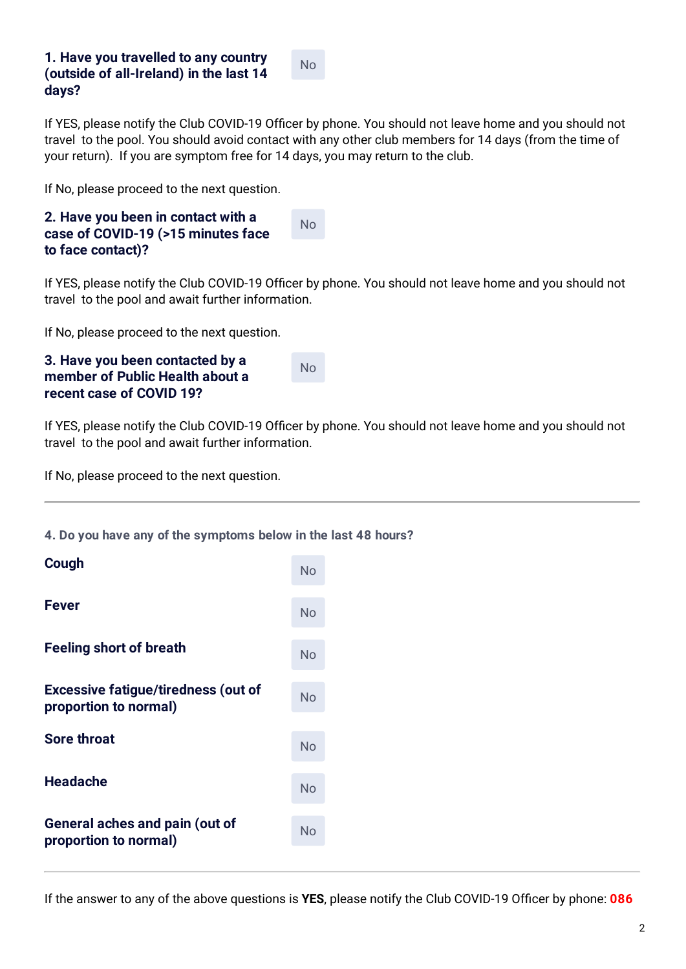### **1. Have you travelled to any country (outside of all-Ireland) in the last 14 days?**

No

If YES, please notify the Club COVID-19 Officer by phone. You should not leave home and you should not travel to the pool. You should avoid contact with any other club members for 14 days (from the time of your return). If you are symptom free for 14 days, you may return to the club.

If No, please proceed to the next question.

| 2. Have you been in contact with a<br>case of COVID-19 (>15 minutes face | <b>No</b> |
|--------------------------------------------------------------------------|-----------|
| to face contact)?                                                        |           |

If YES, please notify the Club COVID-19 Officer by phone. You should not leave home and you should not travel to the pool and await further information.

If No, please proceed to the next question.

| 3. Have you been contacted by a |
|---------------------------------|
| member of Public Health about a |
| recent case of COVID 19?        |

No

If YES, please notify the Club COVID-19 Officer by phone. You should not leave home and you should not travel to the pool and await further information.

If No, please proceed to the next question.

#### **4. Do you have any of the symptoms below in the last 48 hours?**

| Cough                                                               | No        |
|---------------------------------------------------------------------|-----------|
| <b>Fever</b>                                                        | <b>No</b> |
| <b>Feeling short of breath</b>                                      | No        |
| <b>Excessive fatigue/tiredness (out of</b><br>proportion to normal) | No        |
| <b>Sore throat</b>                                                  | No        |
| <b>Headache</b>                                                     | No        |
| <b>General aches and pain (out of</b><br>proportion to normal)      | No        |

If the answer to any of the above questions is **YES**, please notify the Club COVID-19 Officer by phone: **086**